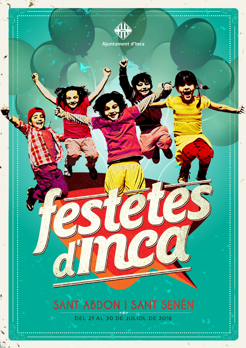